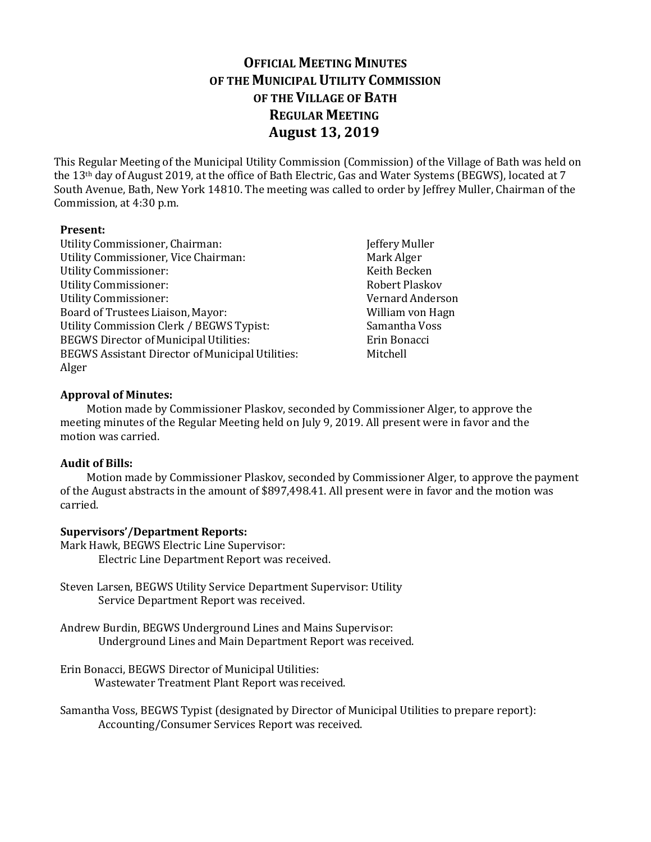# **OFFICIAL MEETING MINUTES OF THE MUNICIPAL UTILITY COMMISSION OF THE VILLAGE OF BATH REGULAR MEETING August 13, 2019**

This Regular Meeting of the Municipal Utility Commission (Commission) of the Village of Bath was held on the 13th day of August 2019, at the office of Bath Electric, Gas and Water Systems (BEGWS), located at 7 South Avenue, Bath, New York 14810. The meeting was called to order by Jeffrey Muller, Chairman of the Commission, at 4:30 p.m.

## **Present:**

- Utility Commissioner, Chairman: Jeffery Muller Utility Commissioner, Vice Chairman: Mark Alger Utility Commissioner: Keith Becken Utility Commissioner: Robert Plaskov Utility Commissioner: Vernard Anderson Board of Trustees Liaison, Mayor: New York Milliam von Hagn Utility Commission Clerk / BEGWS Typist: Samantha Voss BEGWS Director of Municipal Utilities: Erin Bonacci BEGWS Assistant Director of Municipal Utilities: Mitchell Alger
	-

# **Approval of Minutes:**

Motion made by Commissioner Plaskov, seconded by Commissioner Alger, to approve the meeting minutes of the Regular Meeting held on July 9, 2019. All present were in favor and the motion was carried.

## **Audit of Bills:**

Motion made by Commissioner Plaskov, seconded by Commissioner Alger, to approve the payment of the August abstracts in the amount of \$897,498.41. All present were in favor and the motion was carried.

# **Supervisors'/Department Reports:**

Mark Hawk, BEGWS Electric Line Supervisor: Electric Line Department Report was received.

- Steven Larsen, BEGWS Utility Service Department Supervisor: Utility Service Department Report was received.
- Andrew Burdin, BEGWS Underground Lines and Mains Supervisor: Underground Lines and Main Department Report was received.

Erin Bonacci, BEGWS Director of Municipal Utilities: Wastewater Treatment Plant Report was received.

Samantha Voss, BEGWS Typist (designated by Director of Municipal Utilities to prepare report): Accounting/Consumer Services Report was received.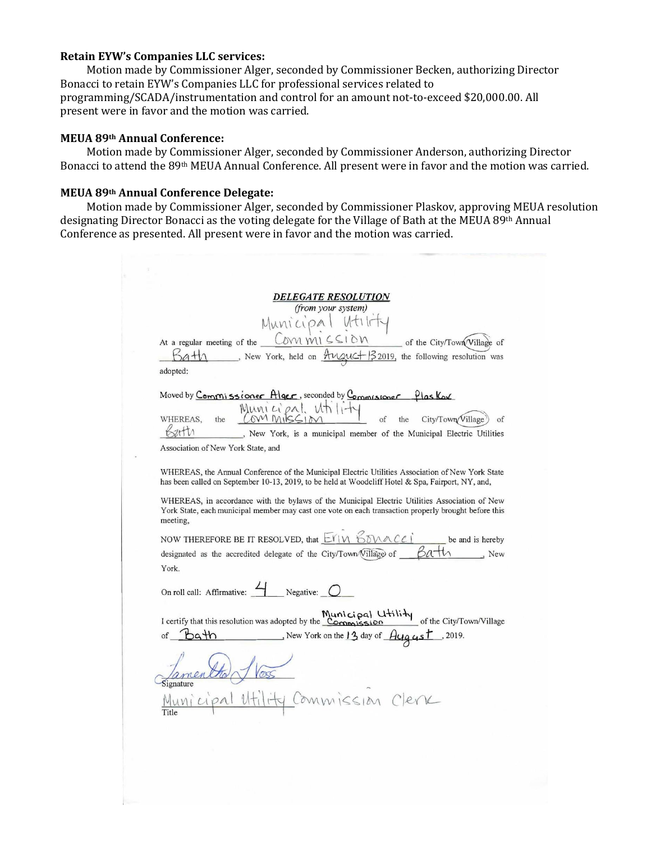#### **Retain EYW's Companies LLC services:**

Motion made by Commissioner Alger, seconded by Commissioner Becken, authorizing Director Bonacci to retain EYW's Companies LLC for professional services related to programming/SCADA/instrumentation and control for an amount not-to-exceed \$20,000.00. All present were in favor and the motion was carried.

#### **MEUA 89th Annual Conference:**

Motion made by Commissioner Alger, seconded by Commissioner Anderson, authorizing Director Bonacci to attend the 89th MEUA Annual Conference. All present were in favor and the motion was carried.

# **MEUA 89th Annual Conference Delegate:**

Motion made by Commissioner Alger, seconded by Commissioner Plaskov, approving MEUA resolution designating Director Bonacci as the voting delegate for the Village of Bath at the MEUA 89th Annual Conference as presented. All present were in favor and the motion was carried.

|            | <i><b>DELEGATE RESOLUTION</b></i><br>(from your system)                                                                                                                                                                                 |
|------------|-----------------------------------------------------------------------------------------------------------------------------------------------------------------------------------------------------------------------------------------|
|            | Municipal Utili                                                                                                                                                                                                                         |
|            | At a regular meeting of the $Low_NN1 \subseteq SLON$<br>of the City/Town Village of<br>New York, held on $\frac{\mathcal{A} \cup \mathcal{A} \cup \mathcal{L} +  \mathcal{Z} \times \mathcal{A} }{2019}$ , the following resolution was |
| adopted:   |                                                                                                                                                                                                                                         |
| WHEREAS.   | Moved by Commissioner Alger, seconded by Commissioner Plas Kov<br>Municipal utility<br>of<br>City/Town/Village<br>the<br>the<br>$\alpha$ f<br>, New York, is a municipal member of the Municipal Electric Utilities                     |
|            | Association of New York State, and                                                                                                                                                                                                      |
|            | WHEREAS, the Annual Conference of the Municipal Electric Utilities Association of New York State<br>has been called on September 10-13, 2019, to be held at Woodcliff Hotel & Spa, Fairport, NY, and,                                   |
| meeting,   | WHEREAS, in accordance with the bylaws of the Municipal Electric Utilities Association of New<br>York State, each municipal member may cast one vote on each transaction properly brought before this                                   |
|            | NOW THEREFORE BE IT RESOLVED, that $E(Y N)$ $E(N \wedge C C)$<br>be and is hereby                                                                                                                                                       |
|            | designated as the accredited delegate of the City/Town (Village of                                                                                                                                                                      |
| York.      |                                                                                                                                                                                                                                         |
|            | On roll call: Affirmative: $\overline{\phantom{a}}$ Negative: $\overline{\phantom{a}}$                                                                                                                                                  |
|            | I certify that this resolution was adopted by the Commission of the City/Town/Village                                                                                                                                                   |
|            |                                                                                                                                                                                                                                         |
| of $b$ ath |                                                                                                                                                                                                                                         |
| Signature  |                                                                                                                                                                                                                                         |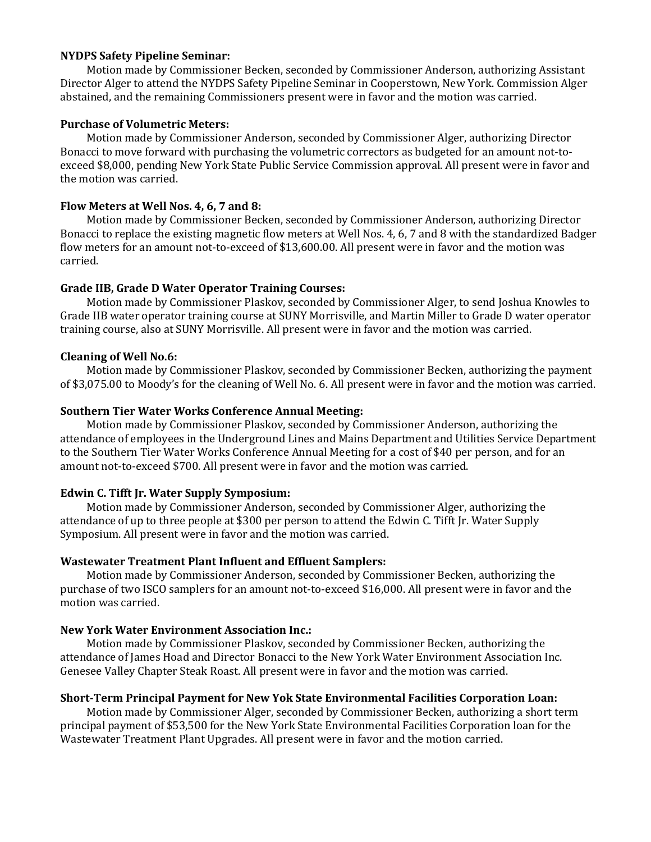## **NYDPS Safety Pipeline Seminar:**

Motion made by Commissioner Becken, seconded by Commissioner Anderson, authorizing Assistant Director Alger to attend the NYDPS Safety Pipeline Seminar in Cooperstown, New York. Commission Alger abstained, and the remaining Commissioners present were in favor and the motion was carried.

# **Purchase of Volumetric Meters:**

Motion made by Commissioner Anderson, seconded by Commissioner Alger, authorizing Director Bonacci to move forward with purchasing the volumetric correctors as budgeted for an amount not-toexceed \$8,000, pending New York State Public Service Commission approval. All present were in favor and the motion was carried.

# **Flow Meters at Well Nos. 4, 6, 7 and 8:**

Motion made by Commissioner Becken, seconded by Commissioner Anderson, authorizing Director Bonacci to replace the existing magnetic flow meters at Well Nos. 4, 6, 7 and 8 with the standardized Badger flow meters for an amount not-to-exceed of \$13,600.00. All present were in favor and the motion was carried.

# **Grade IIB, Grade D Water Operator Training Courses:**

Motion made by Commissioner Plaskov, seconded by Commissioner Alger, to send Joshua Knowles to Grade IIB water operator training course at SUNY Morrisville, and Martin Miller to Grade D water operator training course, also at SUNY Morrisville. All present were in favor and the motion was carried.

# **Cleaning of Well No.6:**

Motion made by Commissioner Plaskov, seconded by Commissioner Becken, authorizing the payment of \$3,075.00 to Moody's for the cleaning of Well No. 6. All present were in favor and the motion was carried.

# **Southern Tier Water Works Conference Annual Meeting:**

Motion made by Commissioner Plaskov, seconded by Commissioner Anderson, authorizing the attendance of employees in the Underground Lines and Mains Department and Utilities Service Department to the Southern Tier Water Works Conference Annual Meeting for a cost of \$40 per person, and for an amount not-to-exceed \$700. All present were in favor and the motion was carried.

# **Edwin C. Tifft Jr. Water Supply Symposium:**

Motion made by Commissioner Anderson, seconded by Commissioner Alger, authorizing the attendance of up to three people at \$300 per person to attend the Edwin C. Tifft Jr. Water Supply Symposium. All present were in favor and the motion was carried.

# **Wastewater Treatment Plant Influent and Effluent Samplers:**

Motion made by Commissioner Anderson, seconded by Commissioner Becken, authorizing the purchase of two ISCO samplers for an amount not-to-exceed \$16,000. All present were in favor and the motion was carried.

## **New York Water Environment Association Inc.:**

Motion made by Commissioner Plaskov, seconded by Commissioner Becken, authorizing the attendance of James Hoad and Director Bonacci to the New York Water Environment Association Inc. Genesee Valley Chapter Steak Roast. All present were in favor and the motion was carried.

## **Short-Term Principal Payment for New Yok State Environmental Facilities Corporation Loan:**

Motion made by Commissioner Alger, seconded by Commissioner Becken, authorizing a short term principal payment of \$53,500 for the New York State Environmental Facilities Corporation loan for the Wastewater Treatment Plant Upgrades. All present were in favor and the motion carried.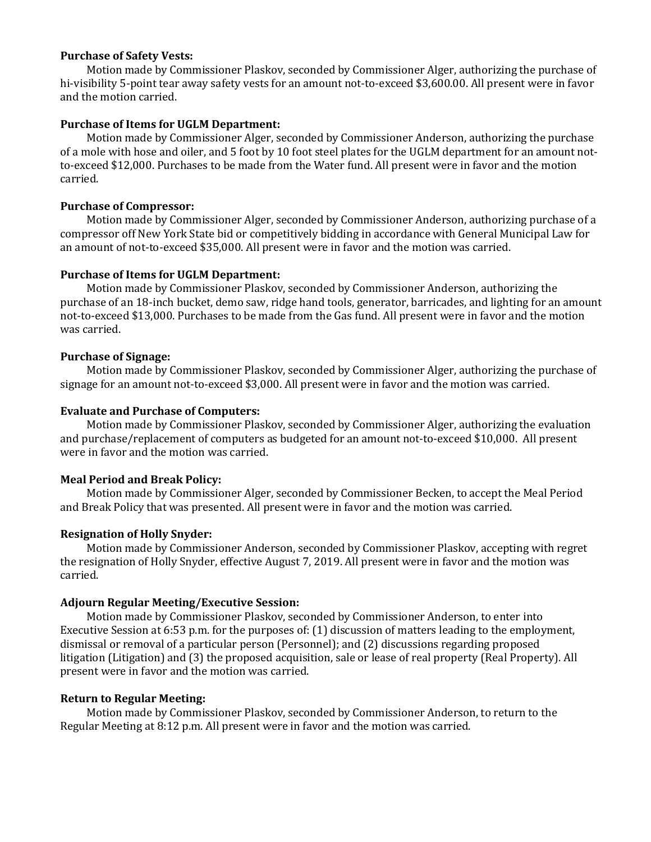## **Purchase of Safety Vests:**

Motion made by Commissioner Plaskov, seconded by Commissioner Alger, authorizing the purchase of hi-visibility 5-point tear away safety vests for an amount not-to-exceed \$3,600.00. All present were in favor and the motion carried.

### **Purchase of Items for UGLM Department:**

Motion made by Commissioner Alger, seconded by Commissioner Anderson, authorizing the purchase of a mole with hose and oiler, and 5 foot by 10 foot steel plates for the UGLM department for an amount notto-exceed \$12,000. Purchases to be made from the Water fund. All present were in favor and the motion carried.

### **Purchase of Compressor:**

Motion made by Commissioner Alger, seconded by Commissioner Anderson, authorizing purchase of a compressor off New York State bid or competitively bidding in accordance with General Municipal Law for an amount of not-to-exceed \$35,000. All present were in favor and the motion was carried.

### **Purchase of Items for UGLM Department:**

Motion made by Commissioner Plaskov, seconded by Commissioner Anderson, authorizing the purchase of an 18-inch bucket, demo saw, ridge hand tools, generator, barricades, and lighting for an amount not-to-exceed \$13,000. Purchases to be made from the Gas fund. All present were in favor and the motion was carried.

### **Purchase of Signage:**

Motion made by Commissioner Plaskov, seconded by Commissioner Alger, authorizing the purchase of signage for an amount not-to-exceed \$3,000. All present were in favor and the motion was carried.

### **Evaluate and Purchase of Computers:**

Motion made by Commissioner Plaskov, seconded by Commissioner Alger, authorizing the evaluation and purchase/replacement of computers as budgeted for an amount not-to-exceed \$10,000.All present were in favor and the motion was carried.

## **Meal Period and Break Policy:**

Motion made by Commissioner Alger, seconded by Commissioner Becken, to accept the Meal Period and Break Policy that was presented. All present were in favor and the motion was carried.

## **Resignation of Holly Snyder:**

Motion made by Commissioner Anderson, seconded by Commissioner Plaskov, accepting with regret the resignation of Holly Snyder, effective August 7, 2019. All present were in favor and the motion was carried.

#### **Adjourn Regular Meeting/Executive Session:**

Motion made by Commissioner Plaskov, seconded by Commissioner Anderson, to enter into Executive Session at 6:53 p.m. for the purposes of: (1) discussion of matters leading to the employment, dismissal or removal of a particular person (Personnel); and (2) discussions regarding proposed litigation (Litigation) and (3) the proposed acquisition, sale or lease of real property (Real Property). All present were in favor and the motion was carried.

#### **Return to Regular Meeting:**

Motion made by Commissioner Plaskov, seconded by Commissioner Anderson, to return to the Regular Meeting at 8:12 p.m. All present were in favor and the motion was carried.